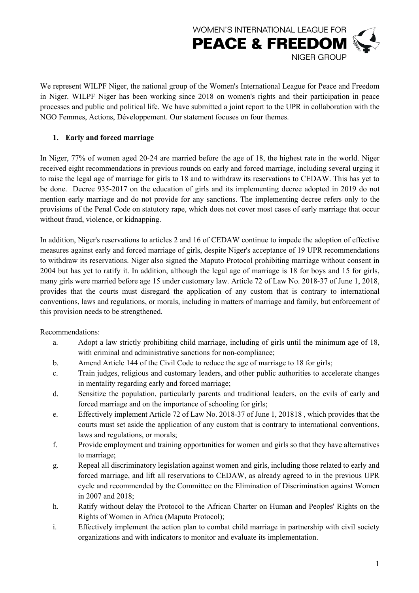

We represent WILPF Niger, the national group of the Women's International League for Peace and Freedom in Niger. WILPF Niger has been working since 2018 on women's rights and their participation in peace processes and public and political life. We have submitted a joint report to the UPR in collaboration with the NGO Femmes, Actions, Développement. Our statement focuses on four themes.

### **1. Early and forced marriage**

In Niger, 77% of women aged 20-24 are married before the age of 18, the highest rate in the world. Niger received eight recommendations in previous rounds on early and forced marriage, including several urging it to raise the legal age of marriage for girls to 18 and to withdraw its reservations to CEDAW. This has yet to be done. Decree 935-2017 on the education of girls and its implementing decree adopted in 2019 do not mention early marriage and do not provide for any sanctions. The implementing decree refers only to the provisions of the Penal Code on statutory rape, which does not cover most cases of early marriage that occur without fraud, violence, or kidnapping.

In addition, Niger's reservations to articles 2 and 16 of CEDAW continue to impede the adoption of effective measures against early and forced marriage of girls, despite Niger's acceptance of 19 UPR recommendations to withdraw its reservations. Niger also signed the Maputo Protocol prohibiting marriage without consent in 2004 but has yet to ratify it. In addition, although the legal age of marriage is 18 for boys and 15 for girls, many girls were married before age 15 under customary law. Article 72 of Law No. 2018-37 of June 1, 2018, provides that the courts must disregard the application of any custom that is contrary to international conventions, laws and regulations, or morals, including in matters of marriage and family, but enforcement of this provision needs to be strengthened.

Recommendations:

- a. Adopt a law strictly prohibiting child marriage, including of girls until the minimum age of 18, with criminal and administrative sanctions for non-compliance;
- b. Amend Article 144 of the Civil Code to reduce the age of marriage to 18 for girls;
- c. Train judges, religious and customary leaders, and other public authorities to accelerate changes in mentality regarding early and forced marriage;
- d. Sensitize the population, particularly parents and traditional leaders, on the evils of early and forced marriage and on the importance of schooling for girls;
- e. Effectively implement Article 72 of Law No. 2018-37 of June 1, 201818 , which provides that the courts must set aside the application of any custom that is contrary to international conventions, laws and regulations, or morals;
- f. Provide employment and training opportunities for women and girls so that they have alternatives to marriage;
- g. Repeal all discriminatory legislation against women and girls, including those related to early and forced marriage, and lift all reservations to CEDAW, as already agreed to in the previous UPR cycle and recommended by the Committee on the Elimination of Discrimination against Women in 2007 and 2018;
- h. Ratify without delay the Protocol to the African Charter on Human and Peoples' Rights on the Rights of Women in Africa (Maputo Protocol);
- i. Effectively implement the action plan to combat child marriage in partnership with civil society organizations and with indicators to monitor and evaluate its implementation.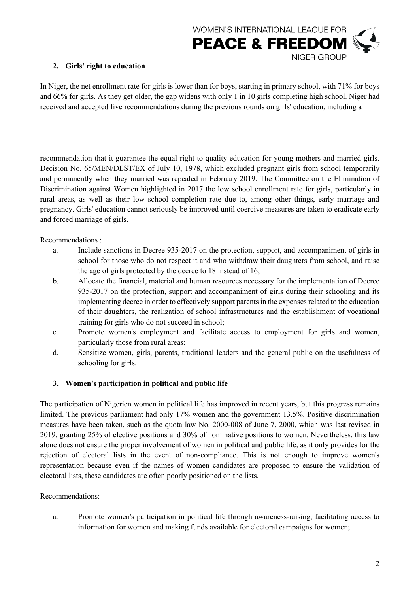

# **2. Girls' right to education**

In Niger, the net enrollment rate for girls is lower than for boys, starting in primary school, with 71% for boys and 66% for girls. As they get older, the gap widens with only 1 in 10 girls completing high school. Niger had received and accepted five recommendations during the previous rounds on girls' education, including a

recommendation that it guarantee the equal right to quality education for young mothers and married girls. Decision No. 65/MEN/DEST/EX of July 10, 1978, which excluded pregnant girls from school temporarily and permanently when they married was repealed in February 2019. The Committee on the Elimination of Discrimination against Women highlighted in 2017 the low school enrollment rate for girls, particularly in rural areas, as well as their low school completion rate due to, among other things, early marriage and pregnancy. Girls' education cannot seriously be improved until coercive measures are taken to eradicate early and forced marriage of girls.

Recommendations :

- a. Include sanctions in Decree 935-2017 on the protection, support, and accompaniment of girls in school for those who do not respect it and who withdraw their daughters from school, and raise the age of girls protected by the decree to 18 instead of 16;
- b. Allocate the financial, material and human resources necessary for the implementation of Decree 935-2017 on the protection, support and accompaniment of girls during their schooling and its implementing decree in order to effectively support parents in the expenses related to the education of their daughters, the realization of school infrastructures and the establishment of vocational training for girls who do not succeed in school;
- c. Promote women's employment and facilitate access to employment for girls and women, particularly those from rural areas;
- d. Sensitize women, girls, parents, traditional leaders and the general public on the usefulness of schooling for girls.

# **3. Women's participation in political and public life**

The participation of Nigerien women in political life has improved in recent years, but this progress remains limited. The previous parliament had only 17% women and the government 13.5%. Positive discrimination measures have been taken, such as the quota law No. 2000-008 of June 7, 2000, which was last revised in 2019, granting 25% of elective positions and 30% of nominative positions to women. Nevertheless, this law alone does not ensure the proper involvement of women in political and public life, as it only provides for the rejection of electoral lists in the event of non-compliance. This is not enough to improve women's representation because even if the names of women candidates are proposed to ensure the validation of electoral lists, these candidates are often poorly positioned on the lists.

#### Recommendations:

a. Promote women's participation in political life through awareness-raising, facilitating access to information for women and making funds available for electoral campaigns for women;